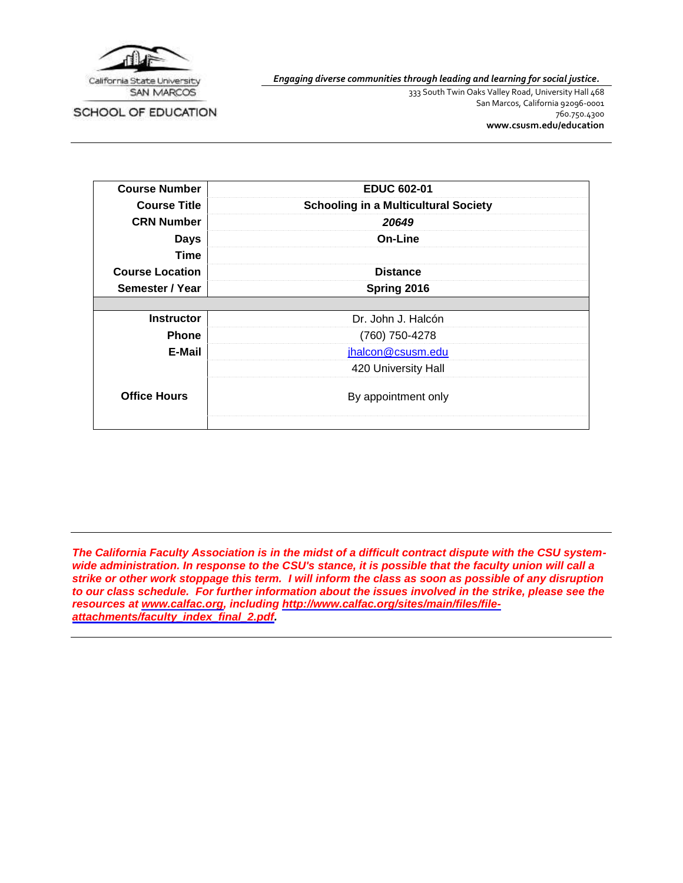

*Engaging diverse communities through leading and learning for social justice.*

SCHOOL OF EDUCATION

333 South Twin Oaks Valley Road, University Hall 468 San Marcos, California 92096-0001 760.750.4300 **[www.csusm.edu/education](http://www.csusm.edu/education)**

| <b>Course Number</b>   | <b>EDUC 602-01</b>                          |
|------------------------|---------------------------------------------|
| <b>Course Title</b>    | <b>Schooling in a Multicultural Society</b> |
| <b>CRN Number</b>      | 20649                                       |
| <b>Days</b>            | On-Line                                     |
| Time                   |                                             |
| <b>Course Location</b> | <b>Distance</b>                             |
| Semester / Year        | Spring 2016                                 |
|                        |                                             |
| <b>Instructor</b>      | Dr. John J. Halcón                          |
| <b>Phone</b>           | (760) 750-4278                              |
| E-Mail                 | jhalcon@csusm.edu                           |
|                        | 420 University Hall                         |
| <b>Office Hours</b>    | By appointment only                         |
|                        |                                             |

*The California Faculty Association is in the midst of a difficult contract dispute with the CSU systemwide administration. In response to the CSU's stance, it is possible that the faculty union will call a strike or other work stoppage this term. I will inform the class as soon as possible of any disruption to our class schedule. For further information about the issues involved in the strike, please see the resources at [www.calfac.org,](http://www.calfac.org/) including [http://www.calfac.org/sites/main/files/file](http://www.calfac.org/sites/main/files/file-attachments/faculty_index_final_2.pdf)[attachments/faculty\\_index\\_final\\_2.pdf.](http://www.calfac.org/sites/main/files/file-attachments/faculty_index_final_2.pdf)*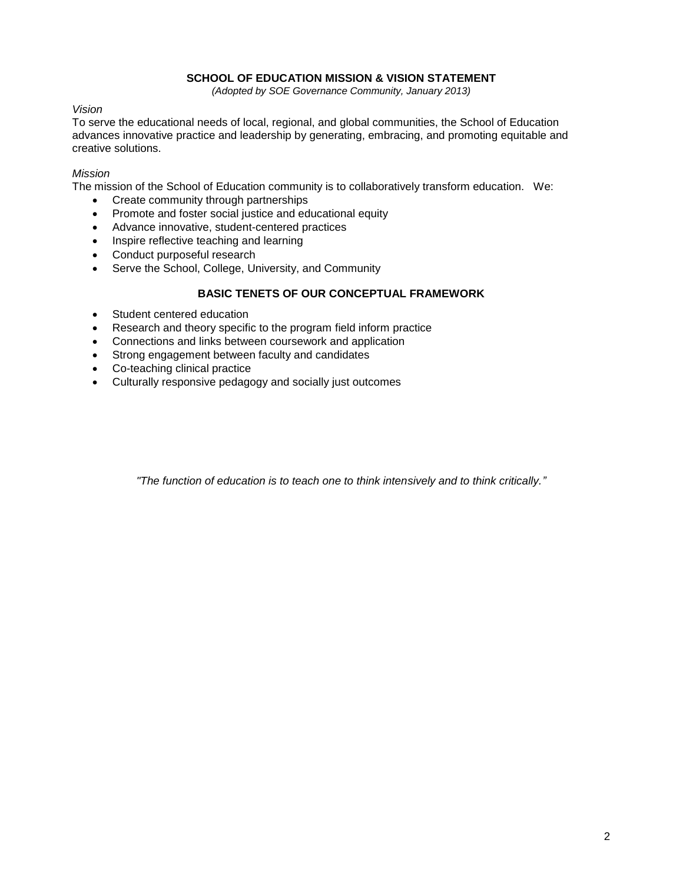## **SCHOOL OF EDUCATION MISSION & VISION STATEMENT**

*(Adopted by SOE Governance Community, January 2013)*

*Vision*

To serve the educational needs of local, regional, and global communities, the School of Education advances innovative practice and leadership by generating, embracing, and promoting equitable and creative solutions.

## *Mission*

The mission of the School of Education community is to collaboratively transform education. We:

- Create community through partnerships
- Promote and foster social justice and educational equity
- Advance innovative, student-centered practices
- Inspire reflective teaching and learning
- Conduct purposeful research
- Serve the School, College, University, and Community

# **BASIC TENETS OF OUR CONCEPTUAL FRAMEWORK**

- Student centered education
- Research and theory specific to the program field inform practice
- Connections and links between coursework and application
- Strong engagement between faculty and candidates
- Co-teaching clinical practice
- Culturally responsive pedagogy and socially just outcomes

*"The function of education is to teach one to think intensively and to think critically."*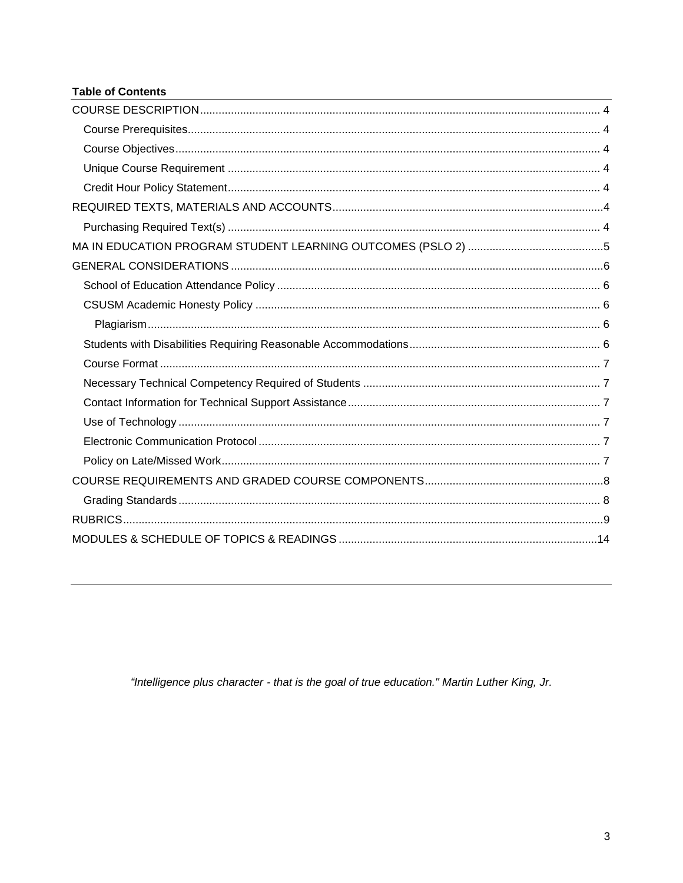# **Table of Contents**

"Intelligence plus character - that is the goal of true education." Martin Luther King, Jr.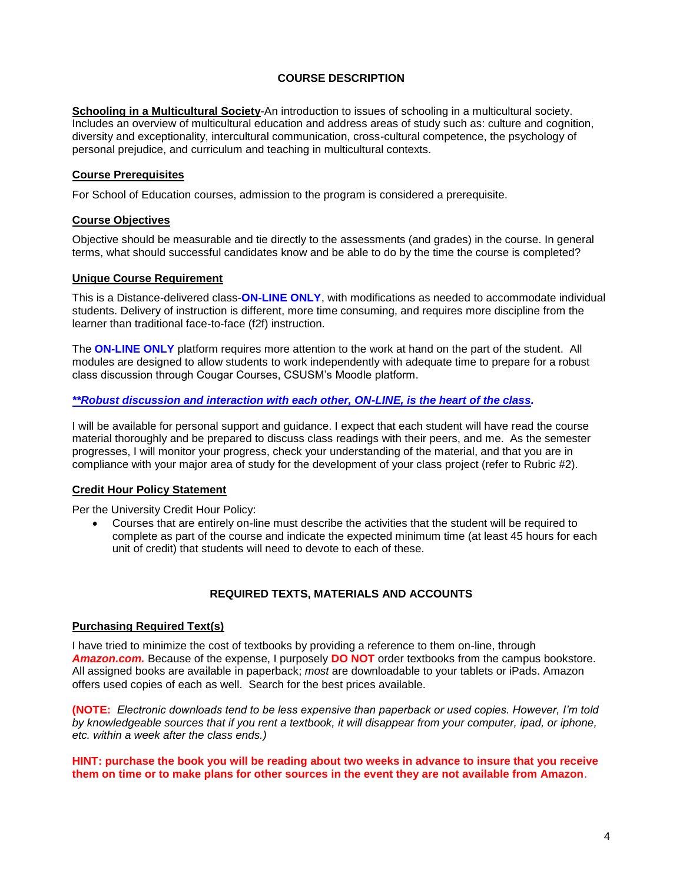## **COURSE DESCRIPTION**

<span id="page-3-0"></span>**Schooling in a Multicultural Society**-An introduction to issues of schooling in a multicultural society. Includes an overview of multicultural education and address areas of study such as: culture and cognition, diversity and exceptionality, intercultural communication, cross-cultural competence, the psychology of personal prejudice, and curriculum and teaching in multicultural contexts.

## <span id="page-3-1"></span>**Course Prerequisites**

For School of Education courses, admission to the program is considered a prerequisite.

### <span id="page-3-2"></span>**Course Objectives**

Objective should be measurable and tie directly to the assessments (and grades) in the course. In general terms, what should successful candidates know and be able to do by the time the course is completed?

### <span id="page-3-3"></span>**Unique Course Requirement**

This is a Distance-delivered class-**ON-LINE ONLY**, with modifications as needed to accommodate individual students. Delivery of instruction is different, more time consuming, and requires more discipline from the learner than traditional face-to-face (f2f) instruction.

The **ON-LINE ONLY** platform requires more attention to the work at hand on the part of the student. All modules are designed to allow students to work independently with adequate time to prepare for a robust class discussion through Cougar Courses, CSUSM's Moodle platform.

### *\*\*Robust discussion and interaction with each other, ON-LINE, is the heart of the class.*

I will be available for personal support and guidance. I expect that each student will have read the course material thoroughly and be prepared to discuss class readings with their peers, and me. As the semester progresses, I will monitor your progress, check your understanding of the material, and that you are in compliance with your major area of study for the development of your class project (refer to Rubric #2).

### <span id="page-3-4"></span>**Credit Hour Policy Statement**

Per the University Credit Hour Policy:

 Courses that are entirely on-line must describe the activities that the student will be required to complete as part of the course and indicate the expected minimum time (at least 45 hours for each unit of credit) that students will need to devote to each of these.

## **REQUIRED TEXTS, MATERIALS AND ACCOUNTS**

### <span id="page-3-6"></span><span id="page-3-5"></span>**Purchasing Required Text(s)**

I have tried to minimize the cost of textbooks by providing a reference to them on-line, through *Amazon.com.* Because of the expense, I purposely **DO NOT** order textbooks from the campus bookstore. All assigned books are available in paperback; *most* are downloadable to your tablets or iPads. Amazon offers used copies of each as well. Search for the best prices available.

**(NOTE:** *Electronic downloads tend to be less expensive than paperback or used copies. However, I'm told by knowledgeable sources that if you rent a textbook, it will disappear from your computer, ipad, or iphone, etc. within a week after the class ends.)*

#### **HINT: purchase the book you will be reading about two weeks in advance to insure that you receive them on time or to make plans for other sources in the event they are not available from Amazon**.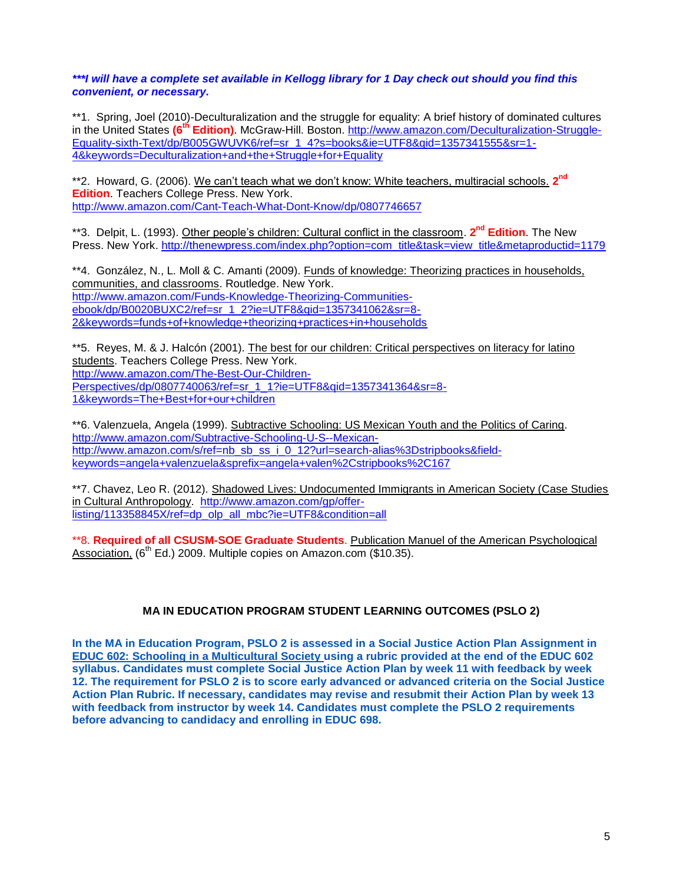## *\*\*\*I will have a complete set available in Kellogg library for 1 Day check out should you find this convenient, or necessary.*

\*\*1. Spring, Joel (2010)-Deculturalization and the struggle for equality: A brief history of dominated cultures in the United States **(6th Edition)**. McGraw-Hill. Boston. [http://www.amazon.com/Deculturalization-Struggle-](http://www.amazon.com/Deculturalization-Struggle-Equality-sixth-Text/dp/B005GWUVK6/ref=sr_1_4?s=books&ie=UTF8&qid=1357341555&sr=1-4&keywords=Deculturalization+and+the+Struggle+for+Equality)[Equality-sixth-Text/dp/B005GWUVK6/ref=sr\\_1\\_4?s=books&ie=UTF8&qid=1357341555&sr=1-](http://www.amazon.com/Deculturalization-Struggle-Equality-sixth-Text/dp/B005GWUVK6/ref=sr_1_4?s=books&ie=UTF8&qid=1357341555&sr=1-4&keywords=Deculturalization+and+the+Struggle+for+Equality) [4&keywords=Deculturalization+and+the+Struggle+for+Equality](http://www.amazon.com/Deculturalization-Struggle-Equality-sixth-Text/dp/B005GWUVK6/ref=sr_1_4?s=books&ie=UTF8&qid=1357341555&sr=1-4&keywords=Deculturalization+and+the+Struggle+for+Equality)

\*\*2. Howard, G. (2006). We can't teach what we don't know: White teachers, multiracial schools. **2 nd Edition**. Teachers College Press. New York. <http://www.amazon.com/Cant-Teach-What-Dont-Know/dp/0807746657>

\*\*3. Delpit, L. (1993). Other people's children: Cultural conflict in the classroom. **2 nd Edition**. The New Press. New York. [http://thenewpress.com/index.php?option=com\\_title&task=view\\_title&metaproductid=1179](http://thenewpress.com/index.php?option=com_title&task=view_title&metaproductid=1179)

\*\*4. González, N., L. Moll & C. Amanti (2009). Funds of knowledge: Theorizing practices in households, communities, and classrooms. Routledge. New York. [http://www.amazon.com/Funds-Knowledge-Theorizing-Communities](http://www.amazon.com/Funds-Knowledge-Theorizing-Communities-ebook/dp/B0020BUXC2/ref=sr_1_2?ie=UTF8&qid=1357341062&sr=8-2&keywords=funds+of+knowledge+theorizing+practices+in+households)[ebook/dp/B0020BUXC2/ref=sr\\_1\\_2?ie=UTF8&qid=1357341062&sr=8-](http://www.amazon.com/Funds-Knowledge-Theorizing-Communities-ebook/dp/B0020BUXC2/ref=sr_1_2?ie=UTF8&qid=1357341062&sr=8-2&keywords=funds+of+knowledge+theorizing+practices+in+households) [2&keywords=funds+of+knowledge+theorizing+practices+in+households](http://www.amazon.com/Funds-Knowledge-Theorizing-Communities-ebook/dp/B0020BUXC2/ref=sr_1_2?ie=UTF8&qid=1357341062&sr=8-2&keywords=funds+of+knowledge+theorizing+practices+in+households)

\*\*5. Reyes, M. & J. Halcón (2001). The best for our children: Critical perspectives on literacy for latino students. Teachers College Press. New York. [http://www.amazon.com/The-Best-Our-Children-](http://www.amazon.com/The-Best-Our-Children-Perspectives/dp/0807740063/ref=sr_1_1?ie=UTF8&qid=1357341364&sr=8-1&keywords=The+Best+for+our+children)[Perspectives/dp/0807740063/ref=sr\\_1\\_1?ie=UTF8&qid=1357341364&sr=8-](http://www.amazon.com/The-Best-Our-Children-Perspectives/dp/0807740063/ref=sr_1_1?ie=UTF8&qid=1357341364&sr=8-1&keywords=The+Best+for+our+children) [1&keywords=The+Best+for+our+children](http://www.amazon.com/The-Best-Our-Children-Perspectives/dp/0807740063/ref=sr_1_1?ie=UTF8&qid=1357341364&sr=8-1&keywords=The+Best+for+our+children)

\*\*6. Valenzuela, Angela (1999). Subtractive Schooling: US Mexican Youth and the Politics of Caring. [http://www.amazon.com/Subtractive-Schooling-U-S--Mexican](http://www.amazon.com/Subtractive-Schooling-U-S--Mexican-http:/www.amazon.com/s/ref=nb_sb_ss_i_0_12?url=search-alias%3Dstripbooks&field-keywords=angela+valenzuela&sprefix=angela+valen%2Cstripbooks%2C167)[http://www.amazon.com/s/ref=nb\\_sb\\_ss\\_i\\_0\\_12?url=search-alias%3Dstripbooks&field](http://www.amazon.com/Subtractive-Schooling-U-S--Mexican-http:/www.amazon.com/s/ref=nb_sb_ss_i_0_12?url=search-alias%3Dstripbooks&field-keywords=angela+valenzuela&sprefix=angela+valen%2Cstripbooks%2C167)[keywords=angela+valenzuela&sprefix=angela+valen%2Cstripbooks%2C167](http://www.amazon.com/Subtractive-Schooling-U-S--Mexican-http:/www.amazon.com/s/ref=nb_sb_ss_i_0_12?url=search-alias%3Dstripbooks&field-keywords=angela+valenzuela&sprefix=angela+valen%2Cstripbooks%2C167)

\*\*7. Chavez, Leo R. (2012). Shadowed Lives: Undocumented Immigrants in American Society (Case Studies in Cultural Anthropology. [http://www.amazon.com/gp/offer](http://www.amazon.com/gp/offer-listing/113358845X/ref=dp_olp_all_mbc?ie=UTF8&condition=all)[listing/113358845X/ref=dp\\_olp\\_all\\_mbc?ie=UTF8&condition=all](http://www.amazon.com/gp/offer-listing/113358845X/ref=dp_olp_all_mbc?ie=UTF8&condition=all)

\*\*8. **Required of all CSUSM-SOE Graduate Students**. Publication Manuel of the American Psychological Association, (6<sup>th</sup> Ed.) 2009. Multiple copies on Amazon.com (\$10.35).

## **MA IN EDUCATION PROGRAM STUDENT LEARNING OUTCOMES (PSLO 2)**

<span id="page-4-0"></span>**In the MA in Education Program, PSLO 2 is assessed in a Social Justice Action Plan Assignment in EDUC 602: Schooling in a Multicultural Society using a rubric provided at the end of the EDUC 602 syllabus. Candidates must complete Social Justice Action Plan by week 11 with feedback by week 12. The requirement for PSLO 2 is to score early advanced or advanced criteria on the Social Justice Action Plan Rubric. If necessary, candidates may revise and resubmit their Action Plan by week 13 with feedback from instructor by week 14. Candidates must complete the PSLO 2 requirements before advancing to candidacy and enrolling in EDUC 698.**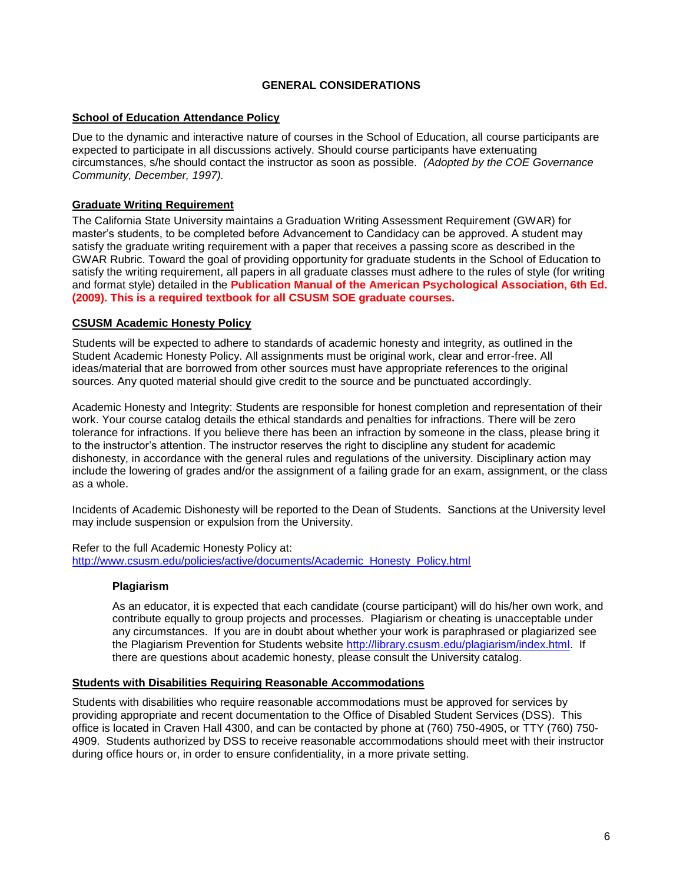## **GENERAL CONSIDERATIONS**

## <span id="page-5-1"></span><span id="page-5-0"></span>**School of Education Attendance Policy**

Due to the dynamic and interactive nature of courses in the School of Education, all course participants are expected to participate in all discussions actively. Should course participants have extenuating circumstances, s/he should contact the instructor as soon as possible. *(Adopted by the COE Governance Community, December, 1997).*

## **Graduate Writing Requirement**

The California State University maintains a Graduation Writing Assessment Requirement (GWAR) for master's students, to be completed before Advancement to Candidacy can be approved. A student may satisfy the graduate writing requirement with a paper that receives a passing score as described in the GWAR Rubric. Toward the goal of providing opportunity for graduate students in the School of Education to satisfy the writing requirement, all papers in all graduate classes must adhere to the rules of style (for writing and format style) detailed in the **Publication Manual of the American Psychological Association, 6th Ed. (2009). This is a required textbook for all CSUSM SOE graduate courses.**

### <span id="page-5-2"></span>**CSUSM Academic Honesty Policy**

Students will be expected to adhere to standards of academic honesty and integrity, as outlined in the Student Academic Honesty Policy. All assignments must be original work, clear and error-free. All ideas/material that are borrowed from other sources must have appropriate references to the original sources. Any quoted material should give credit to the source and be punctuated accordingly.

Academic Honesty and Integrity: Students are responsible for honest completion and representation of their work. Your course catalog details the ethical standards and penalties for infractions. There will be zero tolerance for infractions. If you believe there has been an infraction by someone in the class, please bring it to the instructor's attention. The instructor reserves the right to discipline any student for academic dishonesty, in accordance with the general rules and regulations of the university. Disciplinary action may include the lowering of grades and/or the assignment of a failing grade for an exam, assignment, or the class as a whole.

Incidents of Academic Dishonesty will be reported to the Dean of Students. Sanctions at the University level may include suspension or expulsion from the University.

<span id="page-5-3"></span>Refer to the full Academic Honesty Policy at: [http://www.csusm.edu/policies/active/documents/Academic\\_Honesty\\_Policy.html](http://www.csusm.edu/policies/active/documents/Academic_Honesty_Policy.html)

### **Plagiarism**

As an educator, it is expected that each candidate (course participant) will do his/her own work, and contribute equally to group projects and processes. Plagiarism or cheating is unacceptable under any circumstances. If you are in doubt about whether your work is paraphrased or plagiarized see the Plagiarism Prevention for Students website [http://library.csusm.edu/plagiarism/index.html.](http://library.csusm.edu/plagiarism/index.html) If there are questions about academic honesty, please consult the University catalog.

### <span id="page-5-4"></span>**Students with Disabilities Requiring Reasonable Accommodations**

Students with disabilities who require reasonable accommodations must be approved for services by providing appropriate and recent documentation to the Office of Disabled Student Services (DSS). This office is located in Craven Hall 4300, and can be contacted by phone at (760) 750-4905, or TTY (760) 750- 4909. Students authorized by DSS to receive reasonable accommodations should meet with their instructor during office hours or, in order to ensure confidentiality, in a more private setting.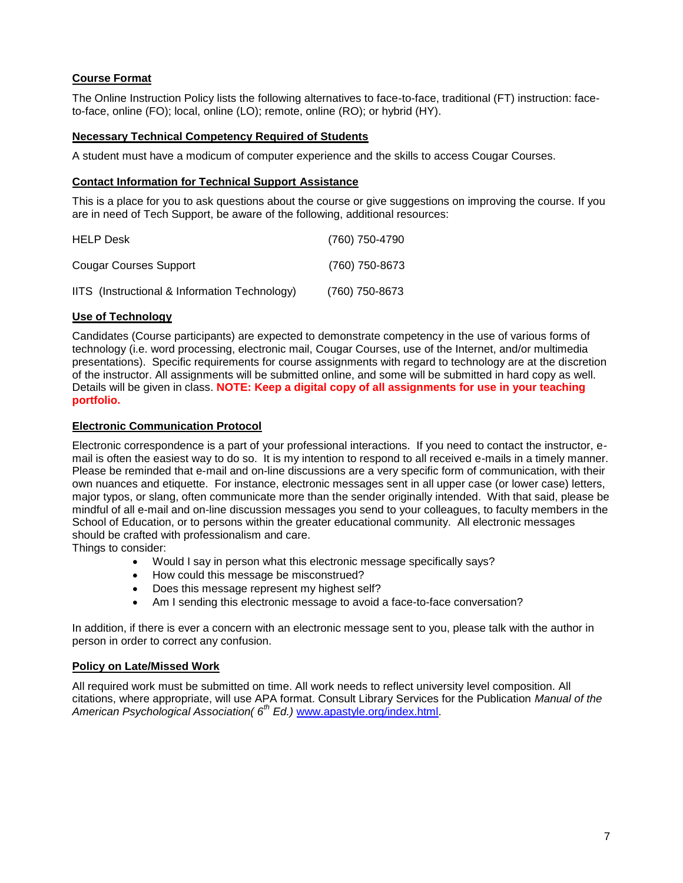# <span id="page-6-0"></span>**Course Format**

The Online Instruction Policy lists the following alternatives to face-to-face, traditional (FT) instruction: faceto-face, online (FO); local, online (LO); remote, online (RO); or hybrid (HY).

## <span id="page-6-1"></span>**Necessary Technical Competency Required of Students**

A student must have a modicum of computer experience and the skills to access Cougar Courses.

## <span id="page-6-2"></span>**Contact Information for Technical Support Assistance**

This is a place for you to ask questions about the course or give suggestions on improving the course. If you are in need of Tech Support, be aware of the following, additional resources:

| <b>HELP Desk</b>                              | (760) 750-4790 |
|-----------------------------------------------|----------------|
| Cougar Courses Support                        | (760) 750-8673 |
| IITS (Instructional & Information Technology) | (760) 750-8673 |

## <span id="page-6-3"></span>**Use of Technology**

Candidates (Course participants) are expected to demonstrate competency in the use of various forms of technology (i.e. word processing, electronic mail, Cougar Courses, use of the Internet, and/or multimedia presentations). Specific requirements for course assignments with regard to technology are at the discretion of the instructor. All assignments will be submitted online, and some will be submitted in hard copy as well. Details will be given in class. **NOTE: Keep a digital copy of all assignments for use in your teaching portfolio.**

## <span id="page-6-4"></span>**Electronic Communication Protocol**

Electronic correspondence is a part of your professional interactions. If you need to contact the instructor, email is often the easiest way to do so. It is my intention to respond to all received e-mails in a timely manner. Please be reminded that e-mail and on-line discussions are a very specific form of communication, with their own nuances and etiquette. For instance, electronic messages sent in all upper case (or lower case) letters, major typos, or slang, often communicate more than the sender originally intended. With that said, please be mindful of all e-mail and on-line discussion messages you send to your colleagues, to faculty members in the School of Education, or to persons within the greater educational community. All electronic messages should be crafted with professionalism and care.

Things to consider:

- Would I say in person what this electronic message specifically says?
- How could this message be misconstrued?
- Does this message represent my highest self?
- Am I sending this electronic message to avoid a face-to-face conversation?

In addition, if there is ever a concern with an electronic message sent to you, please talk with the author in person in order to correct any confusion.

### <span id="page-6-5"></span>**Policy on Late/Missed Work**

All required work must be submitted on time. All work needs to reflect university level composition. All citations, where appropriate, will use APA format. Consult Library Services for the Publication *Manual of the American Psychological Association( 6th Ed.)* [www.apastyle.org/index.html.](http://www.apastyle.org/index.html)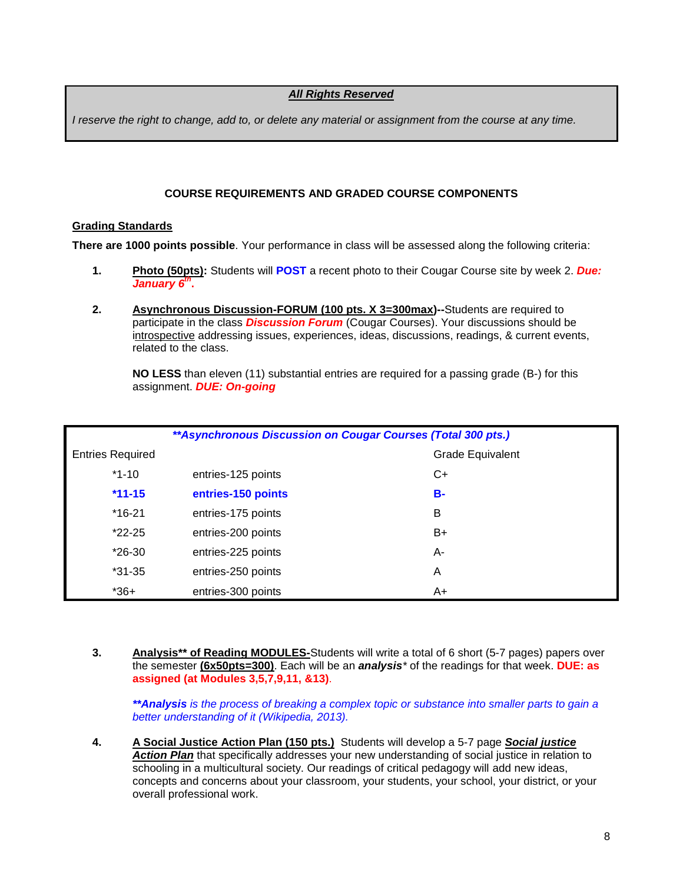## *All Rights Reserved*

*I reserve the right to change, add to, or delete any material or assignment from the course at any time.*

## **COURSE REQUIREMENTS AND GRADED COURSE COMPONENTS**

## <span id="page-7-1"></span><span id="page-7-0"></span>**Grading Standards**

**There are 1000 points possible**. Your performance in class will be assessed along the following criteria:

- **1. Photo (50pts):** Students will **POST** a recent photo to their Cougar Course site by week 2. *Due: January 6 th* **.**
- **2. Asynchronous Discussion-FORUM (100 pts. X 3=300max)--**Students are required to participate in the class *Discussion Forum* (Cougar Courses). Your discussions should be introspective addressing issues, experiences, ideas, discussions, readings, & current events, related to the class.

**NO LESS** than eleven (11) substantial entries are required for a passing grade (B-) for this assignment. *DUE: On-going*

| ** Asynchronous Discussion on Cougar Courses (Total 300 pts.) |                    |                  |  |
|---------------------------------------------------------------|--------------------|------------------|--|
| <b>Entries Required</b>                                       |                    | Grade Equivalent |  |
| $*1 - 10$                                                     | entries-125 points | C+               |  |
| $*11 - 15$                                                    | entries-150 points | <b>B-</b>        |  |
| $*16-21$                                                      | entries-175 points | B                |  |
| $*22-25$                                                      | entries-200 points | $B+$             |  |
| $*26-30$                                                      | entries-225 points | A-               |  |
| $*31 - 35$                                                    | entries-250 points | A                |  |
| $*36+$                                                        | entries-300 points | A+               |  |

**3. Analysis\*\* of Reading MODULES-**Students will write a total of 6 short (5-7 pages) papers over the semester **(6x50pts=300)**. Each will be an *analysis\** of the readings for that week. **DUE: as assigned (at Modules 3,5,7,9,11, &13)**.

*\*\*Analysis is the process of breaking a [complex topic](http://en.wikipedia.org/wiki/Complexity) or substance into smaller parts to gain a better understanding of it (Wikipedia, 2013).*

**4. A Social Justice Action Plan (150 pts.)** Students will develop a 5-7 page *Social justice Action Plan* that specifically addresses your new understanding of social justice in relation to schooling in a multicultural society. Our readings of critical pedagogy will add new ideas, concepts and concerns about your classroom, your students, your school, your district, or your overall professional work.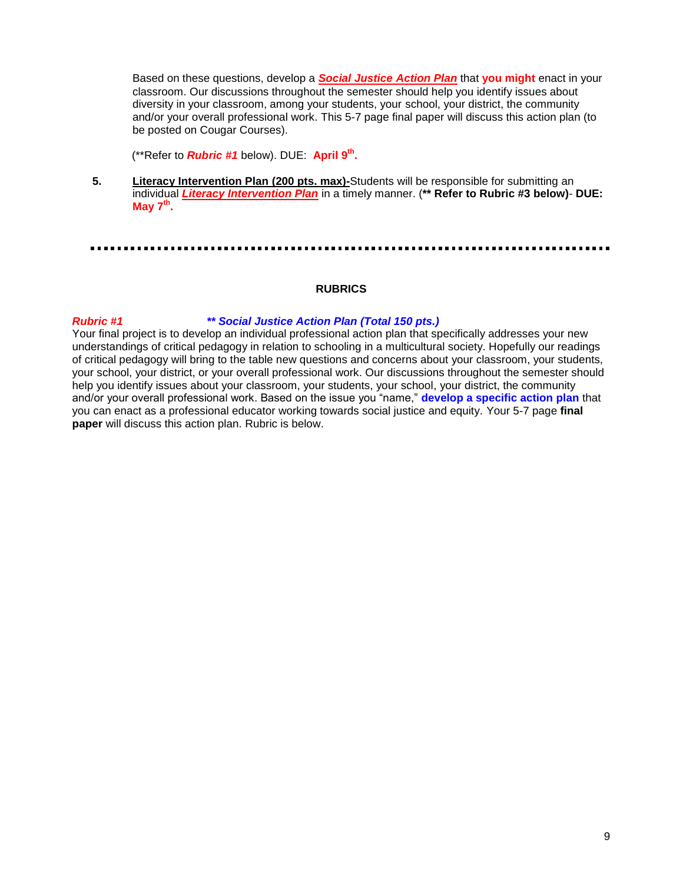Based on these questions, develop a *Social Justice Action Plan* that **you might** enact in your classroom. Our discussions throughout the semester should help you identify issues about diversity in your classroom, among your students, your school, your district, the community and/or your overall professional work. This 5-7 page final paper will discuss this action plan (to be posted on Cougar Courses).

(\*\*Refer to *Rubric #1* below). DUE: **April 9th .**

**5. Literacy Intervention Plan (200 pts. max)-**Students will be responsible for submitting an individual *Literacy Intervention Plan* in a timely manner. (**\*\* Refer to Rubric #3 below)**- **DUE: May 7 th .**

## **RUBRICS**

# <span id="page-8-0"></span>*Rubric #1 \*\* Social Justice Action Plan (Total 150 pts.)*

Your final project is to develop an individual professional action plan that specifically addresses your new understandings of critical pedagogy in relation to schooling in a multicultural society. Hopefully our readings of critical pedagogy will bring to the table new questions and concerns about your classroom, your students, your school, your district, or your overall professional work. Our discussions throughout the semester should help you identify issues about your classroom, your students, your school, your district, the community and/or your overall professional work. Based on the issue you "name," **develop a specific action plan** that you can enact as a professional educator working towards social justice and equity. Your 5-7 page **final paper** will discuss this action plan. Rubric is below.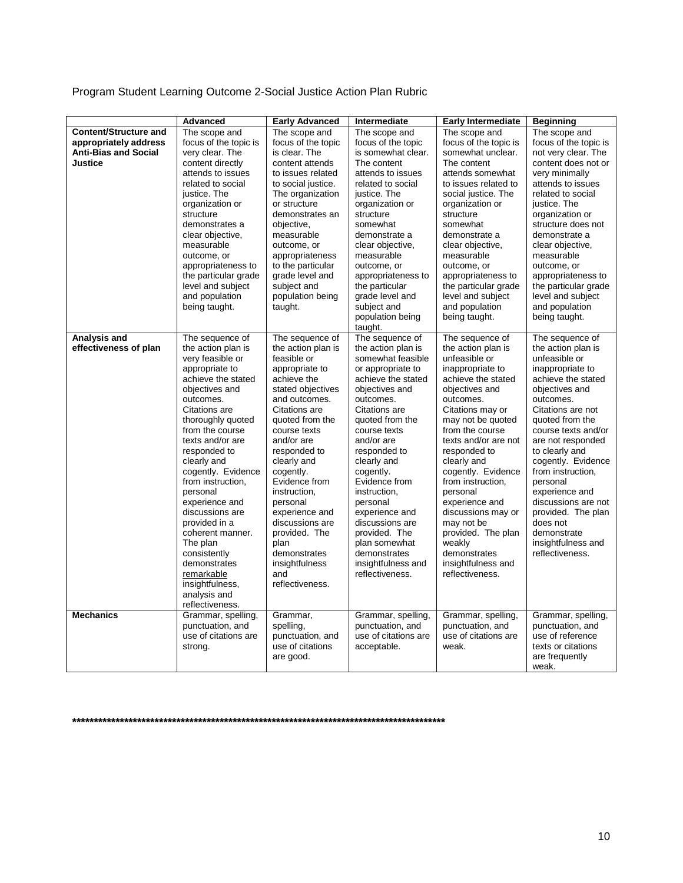| Program Student Learning Outcome 2-Social Justice Action Plan Rubric |  |  |  |  |  |  |  |
|----------------------------------------------------------------------|--|--|--|--|--|--|--|
|----------------------------------------------------------------------|--|--|--|--|--|--|--|

|                              | Advanced                               | <b>Early Advanced</b>                  | Intermediate                      | <b>Early Intermediate</b>                | <b>Beginning</b>                    |
|------------------------------|----------------------------------------|----------------------------------------|-----------------------------------|------------------------------------------|-------------------------------------|
| <b>Content/Structure and</b> | The scope and                          | The scope and                          | The scope and                     | The scope and                            | The scope and                       |
| appropriately address        | focus of the topic is                  | focus of the topic                     | focus of the topic                | focus of the topic is                    | focus of the topic is               |
| <b>Anti-Bias and Social</b>  | very clear. The                        | is clear. The                          | is somewhat clear.                | somewhat unclear.                        | not very clear. The                 |
| Justice                      | content directly                       | content attends                        | The content                       | The content                              | content does not or                 |
|                              | attends to issues<br>related to social | to issues related                      | attends to issues                 | attends somewhat<br>to issues related to | very minimally<br>attends to issues |
|                              | justice. The                           | to social justice.<br>The organization | related to social<br>justice. The | social justice. The                      | related to social                   |
|                              | organization or                        | or structure                           | organization or                   | organization or                          | justice. The                        |
|                              | structure                              | demonstrates an                        | structure                         | structure                                | organization or                     |
|                              | demonstrates a                         | objective.                             | somewhat                          | somewhat                                 | structure does not                  |
|                              | clear objective,                       | measurable                             | demonstrate a                     | demonstrate a                            | demonstrate a                       |
|                              | measurable                             | outcome, or                            | clear objective,                  | clear objective,                         | clear objective,                    |
|                              | outcome, or                            | appropriateness                        | measurable                        | measurable                               | measurable                          |
|                              | appropriateness to                     | to the particular                      | outcome, or                       | outcome, or                              | outcome, or                         |
|                              | the particular grade                   | grade level and                        | appropriateness to                | appropriateness to                       | appropriateness to                  |
|                              | level and subject                      | subject and                            | the particular                    | the particular grade                     | the particular grade                |
|                              | and population                         | population being                       | grade level and                   | level and subject                        | level and subject                   |
|                              | being taught.                          | taught.                                | subject and                       | and population                           | and population                      |
|                              |                                        |                                        | population being<br>taught.       | being taught.                            | being taught.                       |
| <b>Analysis and</b>          | The sequence of                        | The sequence of                        | The sequence of                   | The sequence of                          | The sequence of                     |
| effectiveness of plan        | the action plan is                     | the action plan is                     | the action plan is                | the action plan is                       | the action plan is                  |
|                              | very feasible or                       | feasible or                            | somewhat feasible                 | unfeasible or                            | unfeasible or                       |
|                              | appropriate to                         | appropriate to                         | or appropriate to                 | inappropriate to                         | inappropriate to                    |
|                              | achieve the stated                     | achieve the                            | achieve the stated                | achieve the stated                       | achieve the stated                  |
|                              | objectives and<br>outcomes.            | stated objectives<br>and outcomes.     | objectives and<br>outcomes.       | objectives and<br>outcomes.              | objectives and<br>outcomes.         |
|                              | Citations are                          | Citations are                          | Citations are                     | Citations may or                         | Citations are not                   |
|                              | thoroughly quoted                      | quoted from the                        | quoted from the                   | may not be quoted                        | quoted from the                     |
|                              | from the course                        | course texts                           | course texts                      | from the course                          | course texts and/or                 |
|                              | texts and/or are                       | and/or are                             | and/or are                        | texts and/or are not                     | are not responded                   |
|                              | responded to                           | responded to                           | responded to                      | responded to                             | to clearly and                      |
|                              | clearly and                            | clearly and                            | clearly and                       | clearly and                              | cogently. Evidence                  |
|                              | cogently. Evidence                     | cogently.                              | cogently.                         | cogently. Evidence                       | from instruction.                   |
|                              | from instruction,                      | Evidence from                          | Evidence from                     | from instruction,                        | personal                            |
|                              | personal                               | instruction.                           | instruction.                      | personal                                 | experience and                      |
|                              | experience and                         | personal                               | personal                          | experience and                           | discussions are not                 |
|                              | discussions are                        | experience and<br>discussions are      | experience and<br>discussions are | discussions may or                       | provided. The plan<br>does not      |
|                              | provided in a<br>coherent manner.      | provided. The                          | provided. The                     | may not be<br>provided. The plan         | demonstrate                         |
|                              | The plan                               | plan                                   | plan somewhat                     | weakly                                   | insightfulness and                  |
|                              | consistently                           | demonstrates                           | demonstrates                      | demonstrates                             | reflectiveness.                     |
|                              | demonstrates                           | insightfulness                         | insightfulness and                | insightfulness and                       |                                     |
|                              | remarkable                             | and                                    | reflectiveness.                   | reflectiveness.                          |                                     |
|                              | insightfulness.                        | reflectiveness.                        |                                   |                                          |                                     |
|                              | analysis and                           |                                        |                                   |                                          |                                     |
|                              | reflectiveness.                        |                                        |                                   |                                          |                                     |
| <b>Mechanics</b>             | Grammar, spelling,                     | Grammar,                               | Grammar, spelling,                | Grammar, spelling,                       | Grammar, spelling,                  |
|                              | punctuation, and                       | spelling,                              | punctuation, and                  | punctuation, and                         | punctuation, and                    |
|                              | use of citations are                   | punctuation, and                       | use of citations are              | use of citations are                     | use of reference                    |
|                              | strong.                                | use of citations<br>are good.          | acceptable.                       | weak.                                    | texts or citations                  |
|                              |                                        |                                        |                                   |                                          | are frequently<br>weak.             |

**\*\*\*\*\*\*\*\*\*\*\*\*\*\*\*\*\*\*\*\*\*\*\*\*\*\*\*\*\*\*\*\*\*\*\*\*\*\*\*\*\*\*\*\*\*\*\*\*\*\*\*\*\*\*\*\*\*\*\*\*\*\*\*\*\*\*\*\*\*\*\*\*\*\*\*\*\*\*\*\*\*\*\*\*\*\***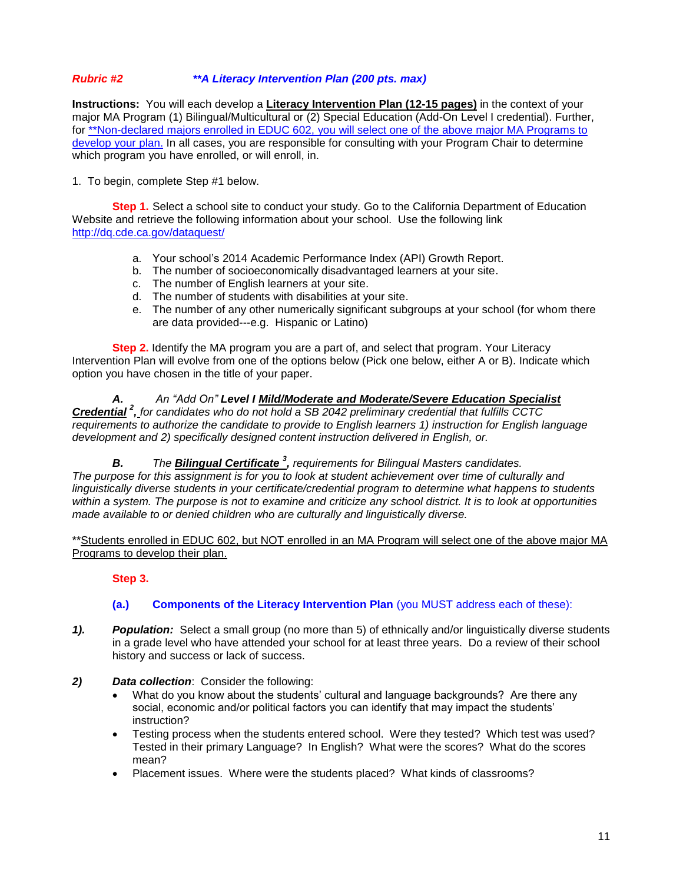## *Rubric #2 \*\*A Literacy Intervention Plan (200 pts. max)*

**Instructions:** You will each develop a **Literacy Intervention Plan (12-15 pages)** in the context of your major MA Program (1) Bilingual/Multicultural or (2) Special Education (Add-On Level I credential). Further, for \*\*Non-declared majors enrolled in EDUC 602, you will select one of the above major MA Programs to develop your plan. In all cases, you are responsible for consulting with your Program Chair to determine which program you have enrolled, or will enroll, in.

1. To begin, complete Step #1 below.

**Step 1.** Select a school site to conduct your study. Go to the California Department of Education Website and retrieve the following information about your school. Use the following link <http://dq.cde.ca.gov/dataquest/>

- a. Your school's 2014 Academic Performance Index (API) Growth Report.
- b. The number of socioeconomically disadvantaged learners at your site.
- c. The number of English learners at your site.
- d. The number of students with disabilities at your site.
- e. The number of any other numerically significant subgroups at your school (for whom there are data provided---e.g. Hispanic or Latino)

**Step 2.** Identify the MA program you are a part of, and select that program. Your Literacy Intervention Plan will evolve from one of the options below (Pick one below, either A or B). Indicate which option you have chosen in the title of your paper.

*A. An "Add On" Level I Mild/Moderate and Moderate/Severe Education Specialist Credential <sup>2</sup> , for candidates who do not hold a SB 2042 preliminary credential that fulfills CCTC requirements to authorize the candidate to provide to English learners 1) instruction for English language development and 2) specifically designed content instruction delivered in English, or.*

**B.** The **Bilingual Certificate**<sup>3</sup>, requirements for Bilingual Masters candidates. *The purpose for this assignment is for you to look at student achievement over time of culturally and linguistically diverse students in your certificate/credential program to determine what happens to students within a system. The purpose is not to examine and criticize any school district. It is to look at opportunities made available to or denied children who are culturally and linguistically diverse.* 

\*\*Students enrolled in EDUC 602, but NOT enrolled in an MA Program will select one of the above major MA Programs to develop their plan.

**Step 3.**

## **(a.) Components of the Literacy Intervention Plan** (you MUST address each of these):

- *1). Population:* Select a small group (no more than 5) of ethnically and/or linguistically diverse students in a grade level who have attended your school for at least three years. Do a review of their school history and success or lack of success.
- *2) Data collection*: Consider the following:
	- What do you know about the students' cultural and language backgrounds? Are there any social, economic and/or political factors you can identify that may impact the students' instruction?
	- Testing process when the students entered school. Were they tested? Which test was used? Tested in their primary Language? In English? What were the scores? What do the scores mean?
	- Placement issues. Where were the students placed? What kinds of classrooms?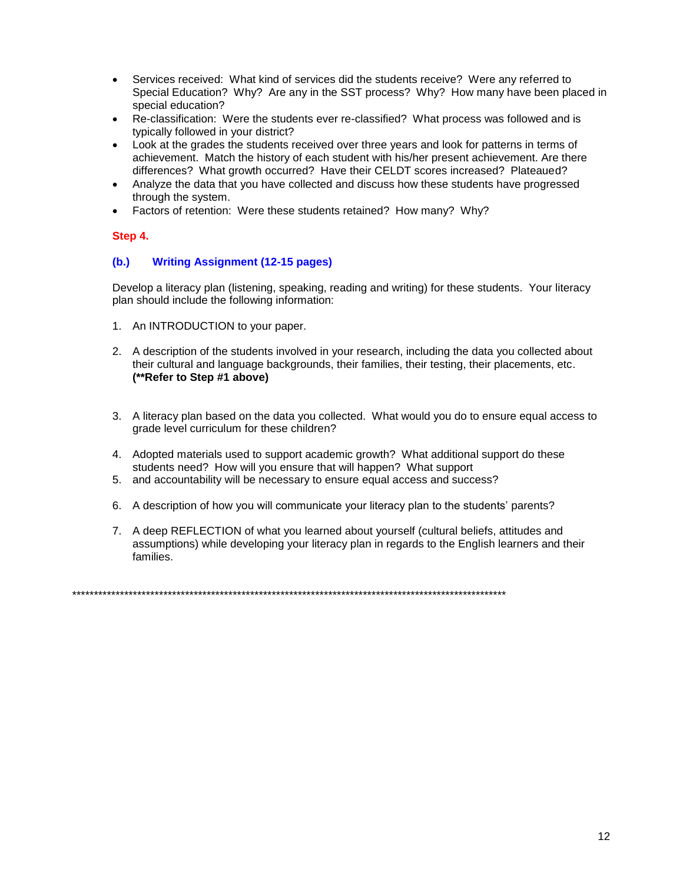- Services received: What kind of services did the students receive? Were any referred to Special Education? Why? Are any in the SST process? Why? How many have been placed in special education?
- Re-classification: Were the students ever re-classified? What process was followed and is typically followed in your district?
- Look at the grades the students received over three years and look for patterns in terms of achievement. Match the history of each student with his/her present achievement. Are there differences? What growth occurred? Have their CELDT scores increased? Plateaued?
- Analyze the data that you have collected and discuss how these students have progressed through the system.
- Factors of retention: Were these students retained? How many? Why?

## **Step 4.**

## **(b.) Writing Assignment (12-15 pages)**

Develop a literacy plan (listening, speaking, reading and writing) for these students. Your literacy plan should include the following information:

- 1. An INTRODUCTION to your paper.
- 2. A description of the students involved in your research, including the data you collected about their cultural and language backgrounds, their families, their testing, their placements, etc. **(\*\*Refer to Step #1 above)**
- 3. A literacy plan based on the data you collected. What would you do to ensure equal access to grade level curriculum for these children?
- 4. Adopted materials used to support academic growth? What additional support do these students need? How will you ensure that will happen? What support
- 5. and accountability will be necessary to ensure equal access and success?
- 6. A description of how you will communicate your literacy plan to the students' parents?
- 7. A deep REFLECTION of what you learned about yourself (cultural beliefs, attitudes and assumptions) while developing your literacy plan in regards to the English learners and their families.

\*\*\*\*\*\*\*\*\*\*\*\*\*\*\*\*\*\*\*\*\*\*\*\*\*\*\*\*\*\*\*\*\*\*\*\*\*\*\*\*\*\*\*\*\*\*\*\*\*\*\*\*\*\*\*\*\*\*\*\*\*\*\*\*\*\*\*\*\*\*\*\*\*\*\*\*\*\*\*\*\*\*\*\*\*\*\*\*\*\*\*\*\*\*\*\*\*\*\*\*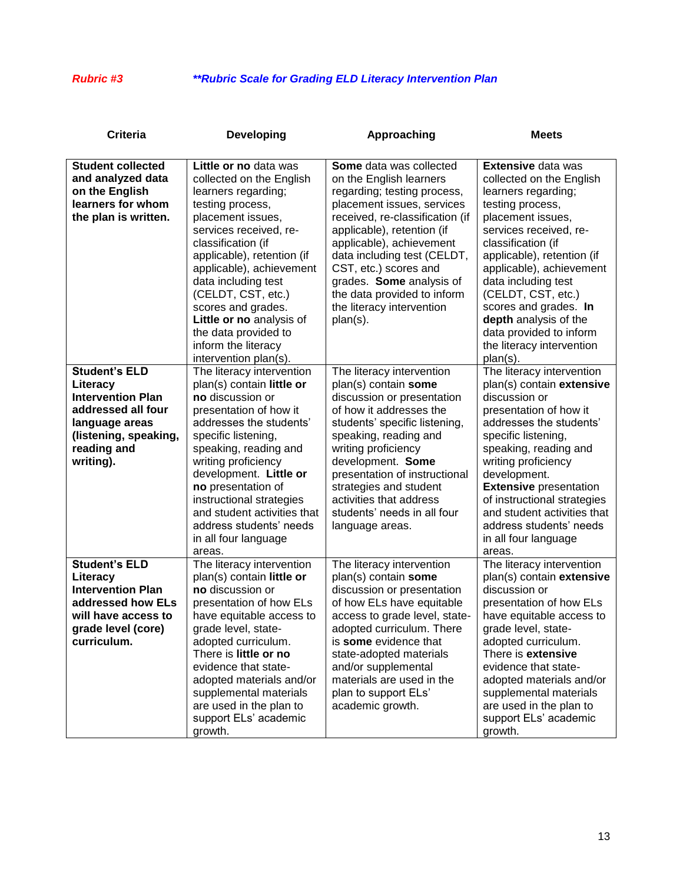# *Rubric #3 \*\*Rubric Scale for Grading ELD Literacy Intervention Plan*

| Criteria                                                                                                                                                  | <b>Developing</b>                                                                                                                                                                                                                                                                                                                                                                                  | Approaching                                                                                                                                                                                                                                                                                                                                                                     | <b>Meets</b>                                                                                                                                                                                                                                                                                                                                                                                       |  |
|-----------------------------------------------------------------------------------------------------------------------------------------------------------|----------------------------------------------------------------------------------------------------------------------------------------------------------------------------------------------------------------------------------------------------------------------------------------------------------------------------------------------------------------------------------------------------|---------------------------------------------------------------------------------------------------------------------------------------------------------------------------------------------------------------------------------------------------------------------------------------------------------------------------------------------------------------------------------|----------------------------------------------------------------------------------------------------------------------------------------------------------------------------------------------------------------------------------------------------------------------------------------------------------------------------------------------------------------------------------------------------|--|
| <b>Student collected</b><br>and analyzed data<br>on the English<br>learners for whom<br>the plan is written.                                              | Little or no data was<br>collected on the English<br>learners regarding;<br>testing process,<br>placement issues,<br>services received, re-<br>classification (if<br>applicable), retention (if<br>applicable), achievement<br>data including test<br>(CELDT, CST, etc.)<br>scores and grades.<br>Little or no analysis of<br>the data provided to<br>inform the literacy<br>intervention plan(s). | <b>Some</b> data was collected<br>on the English learners<br>regarding; testing process,<br>placement issues, services<br>received, re-classification (if<br>applicable), retention (if<br>applicable), achievement<br>data including test (CELDT,<br>CST, etc.) scores and<br>grades. Some analysis of<br>the data provided to inform<br>the literacy intervention<br>plan(s). | <b>Extensive data was</b><br>collected on the English<br>learners regarding;<br>testing process,<br>placement issues,<br>services received, re-<br>classification (if<br>applicable), retention (if<br>applicable), achievement<br>data including test<br>(CELDT, CST, etc.)<br>scores and grades. In<br>depth analysis of the<br>data provided to inform<br>the literacy intervention<br>plan(s). |  |
| <b>Student's ELD</b><br>Literacy<br><b>Intervention Plan</b><br>addressed all four<br>language areas<br>(listening, speaking,<br>reading and<br>writing). | The literacy intervention<br>plan(s) contain little or<br>no discussion or<br>presentation of how it<br>addresses the students'<br>specific listening,<br>speaking, reading and<br>writing proficiency<br>development. Little or<br>no presentation of<br>instructional strategies<br>and student activities that<br>address students' needs<br>in all four language<br>areas.                     | The literacy intervention<br>plan(s) contain some<br>discussion or presentation<br>of how it addresses the<br>students' specific listening,<br>speaking, reading and<br>writing proficiency<br>development. Some<br>presentation of instructional<br>strategies and student<br>activities that address<br>students' needs in all four<br>language areas.                        | The literacy intervention<br>plan(s) contain extensive<br>discussion or<br>presentation of how it<br>addresses the students'<br>specific listening,<br>speaking, reading and<br>writing proficiency<br>development.<br><b>Extensive presentation</b><br>of instructional strategies<br>and student activities that<br>address students' needs<br>in all four language<br>areas.                    |  |
| <b>Student's ELD</b><br>Literacy<br><b>Intervention Plan</b><br>addressed how ELs<br>will have access to<br>grade level (core)<br>curriculum.             | The literacy intervention<br>plan(s) contain little or<br>no discussion or<br>presentation of how ELs<br>have equitable access to<br>grade level, state-<br>adopted curriculum.<br>There is little or no<br>evidence that state-<br>adopted materials and/or<br>supplemental materials<br>are used in the plan to<br>support ELs' academic<br>growth.                                              | The literacy intervention<br>plan(s) contain some<br>discussion or presentation<br>of how ELs have equitable<br>access to grade level, state-<br>adopted curriculum. There<br>is some evidence that<br>state-adopted materials<br>and/or supplemental<br>materials are used in the<br>plan to support ELs'<br>academic growth.                                                  | The literacy intervention<br>plan(s) contain extensive<br>discussion or<br>presentation of how ELs<br>have equitable access to<br>grade level, state-<br>adopted curriculum.<br>There is extensive<br>evidence that state-<br>adopted materials and/or<br>supplemental materials<br>are used in the plan to<br>support ELs' academic<br>growth.                                                    |  |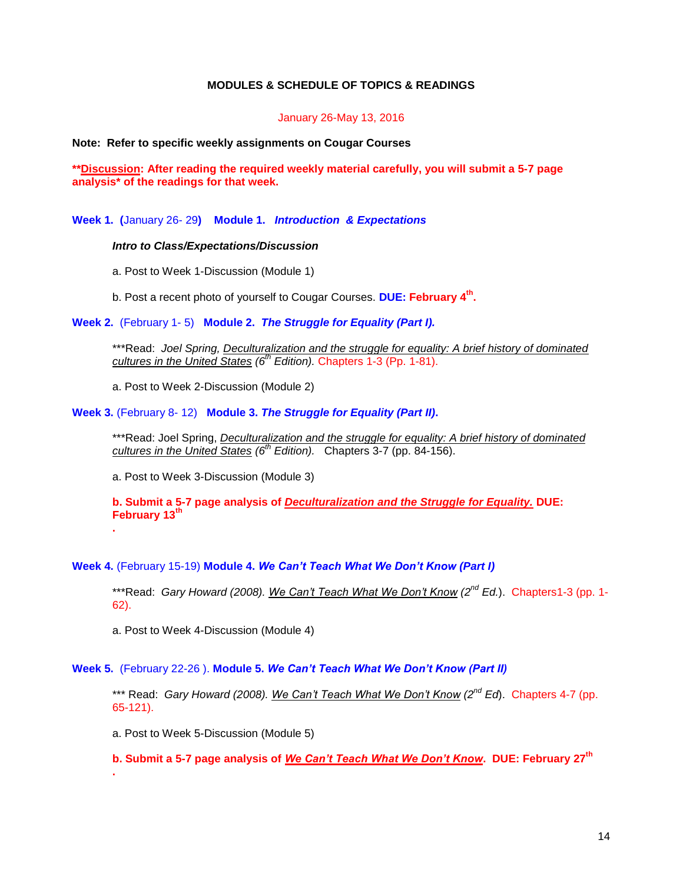## **MODULES & SCHEDULE OF TOPICS & READINGS**

#### January 26-May 13, 2016

#### <span id="page-13-0"></span>**Note: Refer to specific weekly assignments on Cougar Courses**

**\*\*Discussion: After reading the required weekly material carefully, you will submit a 5-7 page analysis\* of the readings for that week.** 

**Week 1. (**January 26- 29**) Module 1.** *Introduction & Expectations*

#### *Intro to Class/Expectations/Discussion*

a. Post to Week 1-Discussion (Module 1)

b. Post a recent photo of yourself to Cougar Courses. **DUE: February 4th .** 

**Week 2.** (February 1- 5) **Module 2.** *The Struggle for Equality (Part I).*

\*\*\*Read: *Joel Spring, Deculturalization and the struggle for equality: A brief history of dominated cultures in the United States (6th Edition).* Chapters 1-3 (Pp. 1-81).

a. Post to Week 2-Discussion (Module 2)

**Week 3.** (February 8- 12) **Module 3.** *The Struggle for Equality (Part II)***.**

\*\*\*Read: Joel Spring, *Deculturalization and the struggle for equality: A brief history of dominated cultures in the United States (6th Edition).* Chapters 3-7 (pp. 84-156).

a. Post to Week 3-Discussion (Module 3)

**b. Submit a 5-7 page analysis of** *Deculturalization and the Struggle for Equality.* **DUE: February 13th**

**.**

## **Week 4.** (February 15-19) **Module 4.** *We Can't Teach What We Don't Know (Part I)*

\*\*\*Read: *Gary Howard (2008). We Can't Teach What We Don't Know (2nd Ed.*). Chapters1-3 (pp. 1- 62).

a. Post to Week 4-Discussion (Module 4)

# **Week 5.** (February 22-26 ). **Module 5.** *We Can't Teach What We Don't Know (Part II)*

\*\*\* Read: *Gary Howard (2008). We Can't Teach What We Don't Know (2nd Ed*). Chapters 4-7 (pp. 65-121).

a. Post to Week 5-Discussion (Module 5)

**b. Submit a 5-7 page analysis of** *We Can't Teach What We Don't Know***. DUE: February 27th .**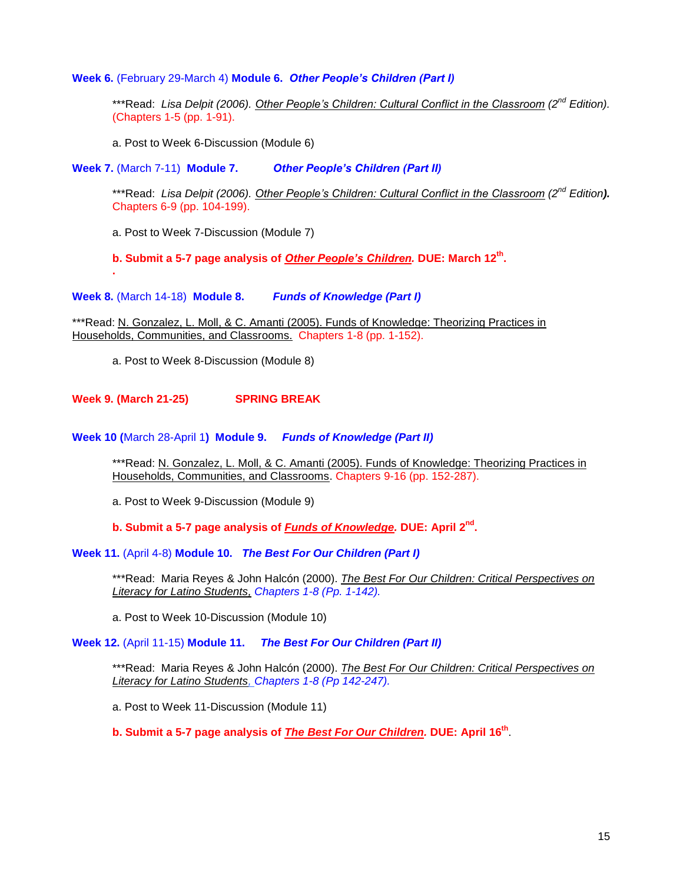**Week 6.** (February 29-March 4) **Module 6.** *Other People's Children (Part I)*

\*\*\*Read: *Lisa Delpit (2006). Other People's Children: Cultural Conflict in the Classroom (2nd Edition).*  (Chapters 1-5 (pp. 1-91).

a. Post to Week 6-Discussion (Module 6)

**Week 7.** (March 7-11) **Module 7.** *Other People's Children (Part II)*

\*\*\*Read: *Lisa Delpit (2006). Other People's Children: Cultural Conflict in the Classroom (2nd Edition).*  Chapters 6-9 (pp. 104-199).

a. Post to Week 7-Discussion (Module 7)

**.**

**b. Submit a 5-7 page analysis of** *Other People's Children.* **DUE: March 12th .**

**Week 8.** (March 14-18) **Module 8.** *Funds of Knowledge (Part I)*

\*\*\*Read: N. Gonzalez, L. Moll, & C. Amanti (2005). Funds of Knowledge: Theorizing Practices in Households, Communities, and Classrooms. Chapters 1-8 (pp. 1-152).

a. Post to Week 8-Discussion (Module 8)

**Week 9. (March 21-25) SPRING BREAK**

**Week 10 (**March 28-April 1**) Module 9.** *Funds of Knowledge (Part II)*

\*\*\*Read: N. Gonzalez, L. Moll, & C. Amanti (2005). Funds of Knowledge: Theorizing Practices in Households, Communities, and Classrooms. Chapters 9-16 (pp. 152-287).

a. Post to Week 9-Discussion (Module 9)

**b. Submit a 5-7 page analysis of** *Funds of Knowledge.* **DUE: April 2nd .**

**Week 11.** (April 4-8) **Module 10.** *The Best For Our Children (Part I)*

\*\*\*Read: Maria Reyes & John Halcón (2000). *The Best For Our Children: Critical Perspectives on Literacy for Latino Students, Chapters 1-8 (Pp. 1-142).*

a. Post to Week 10-Discussion (Module 10)

**Week 12.** (April 11-15) **Module 11.** *The Best For Our Children (Part II)*

\*\*\*Read: Maria Reyes & John Halcón (2000). *The Best For Our Children: Critical Perspectives on Literacy for Latino Students, Chapters 1-8 (Pp 142-247).*

a. Post to Week 11-Discussion (Module 11)

**b. Submit a 5-7 page analysis of** *The Best For Our Children.* **DUE: April 16th** .